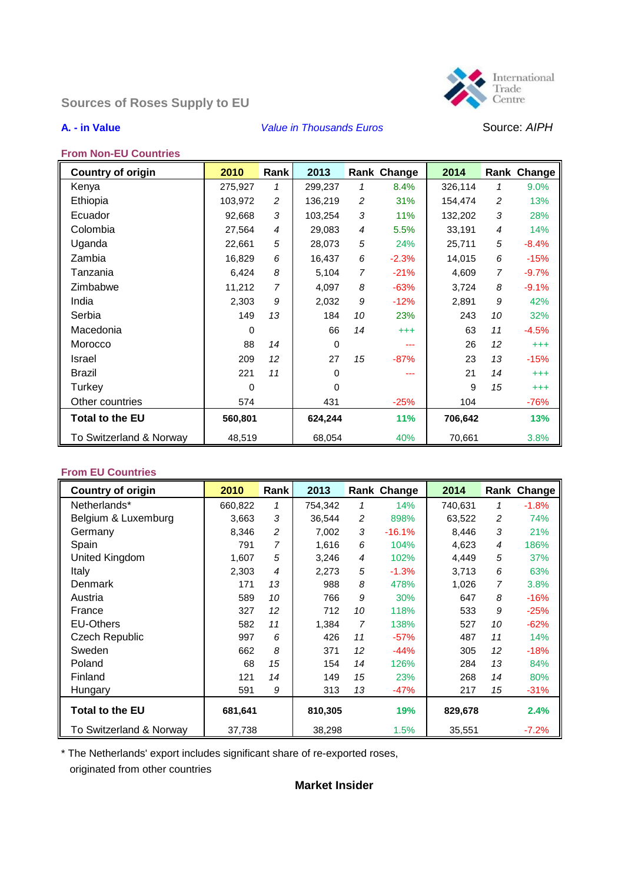# **Sources of Roses Supply to EU**



### **A. - in Value** *Value in Thousands Euros* Source: *AIPH*



#### **From Non-EU Countries**

| <b>Country of origin</b> | 2010     | Rank           | 2013        |    | Rank Change | 2014    |                | Rank Change |
|--------------------------|----------|----------------|-------------|----|-------------|---------|----------------|-------------|
| Kenya                    | 275,927  | 1              | 299,237     | 1  | 8.4%        | 326,114 | 1              | 9.0%        |
| Ethiopia                 | 103,972  | $\overline{c}$ | 136,219     | 2  | 31%         | 154,474 | 2              | 13%         |
| Ecuador                  | 92,668   | 3              | 103,254     | 3  | 11%         | 132,202 | 3              | 28%         |
| Colombia                 | 27,564   | 4              | 29,083      | 4  | 5.5%        | 33,191  | $\overline{4}$ | 14%         |
| Uganda                   | 22,661   | 5              | 28,073      | 5  | 24%         | 25,711  | 5              | $-8.4%$     |
| Zambia                   | 16,829   | 6              | 16,437      | 6  | $-2.3%$     | 14,015  | 6              | $-15%$      |
| Tanzania                 | 6,424    | 8              | 5,104       | 7  | $-21%$      | 4,609   | 7              | $-9.7%$     |
| Zimbabwe                 | 11,212   | $\overline{7}$ | 4,097       | 8  | $-63%$      | 3,724   | 8              | $-9.1%$     |
| India                    | 2,303    | 9              | 2,032       | 9  | $-12%$      | 2,891   | 9              | 42%         |
| Serbia                   | 149      | 13             | 184         | 10 | 23%         | 243     | 10             | 32%         |
| Macedonia                | $\Omega$ |                | 66          | 14 | $^{+++}$    | 63      | 11             | $-4.5%$     |
| Morocco                  | 88       | 14             | $\mathbf 0$ |    | ---         | 26      | 12             | $^{+++}$    |
| Israel                   | 209      | 12             | 27          | 15 | $-87%$      | 23      | 13             | $-15%$      |
| Brazil                   | 221      | 11             | $\Omega$    |    | ---         | 21      | 14             | $^{+++}$    |
| Turkey                   | $\Omega$ |                | $\Omega$    |    |             | 9       | 15             | $^{+++}$    |
| Other countries          | 574      |                | 431         |    | $-25%$      | 104     |                | $-76%$      |
| <b>Total to the EU</b>   | 560,801  |                | 624,244     |    | 11%         | 706,642 |                | 13%         |
| To Switzerland & Norway  | 48,519   |                | 68,054      |    | 40%         | 70,661  |                | 3.8%        |

# **From EU Countries**

| <b>Country of origin</b> | 2010    | Rank           | 2013    |    | Rank Change | 2014    |                | Rank Change |
|--------------------------|---------|----------------|---------|----|-------------|---------|----------------|-------------|
| Netherlands*             | 660,822 | 1              | 754,342 | 1  | 14%         | 740,631 | 1              | $-1.8%$     |
| Belgium & Luxemburg      | 3,663   | 3              | 36,544  | 2  | 898%        | 63,522  | 2              | 74%         |
| Germany                  | 8,346   | $\overline{c}$ | 7,002   | 3  | $-16.1%$    | 8,446   | 3              | 21%         |
| Spain                    | 791     | 7              | 1.616   | 6  | 104%        | 4,623   | $\overline{4}$ | 186%        |
| United Kingdom           | 1,607   | 5              | 3,246   | 4  | 102%        | 4,449   | 5              | 37%         |
| Italy                    | 2,303   | $\overline{4}$ | 2,273   | 5  | $-1.3%$     | 3,713   | 6              | 63%         |
| Denmark                  | 171     | 13             | 988     | 8  | 478%        | 1,026   | 7              | 3.8%        |
| Austria                  | 589     | 10             | 766     | 9  | 30%         | 647     | 8              | $-16%$      |
| France                   | 327     | 12             | 712     | 10 | 118%        | 533     | 9              | $-25%$      |
| <b>EU-Others</b>         | 582     | 11             | 1,384   | 7  | 138%        | 527     | 10             | $-62%$      |
| Czech Republic           | 997     | 6              | 426     | 11 | $-57%$      | 487     | 11             | 14%         |
| Sweden                   | 662     | 8              | 371     | 12 | $-44%$      | 305     | 12             | $-18%$      |
| Poland                   | 68      | 15             | 154     | 14 | 126%        | 284     | 13             | 84%         |
| Finland                  | 121     | 14             | 149     | 15 | 23%         | 268     | 14             | 80%         |
| Hungary                  | 591     | 9              | 313     | 13 | $-47%$      | 217     | 15             | $-31%$      |
| <b>Total to the EU</b>   | 681,641 |                | 810,305 |    | 19%         | 829,678 |                | 2.4%        |
| To Switzerland & Norway  | 37,738  |                | 38,298  |    | 1.5%        | 35,551  |                | $-7.2%$     |

\* The Netherlands' export includes significant share of re-exported roses,

originated from other countries

## **Market Insider**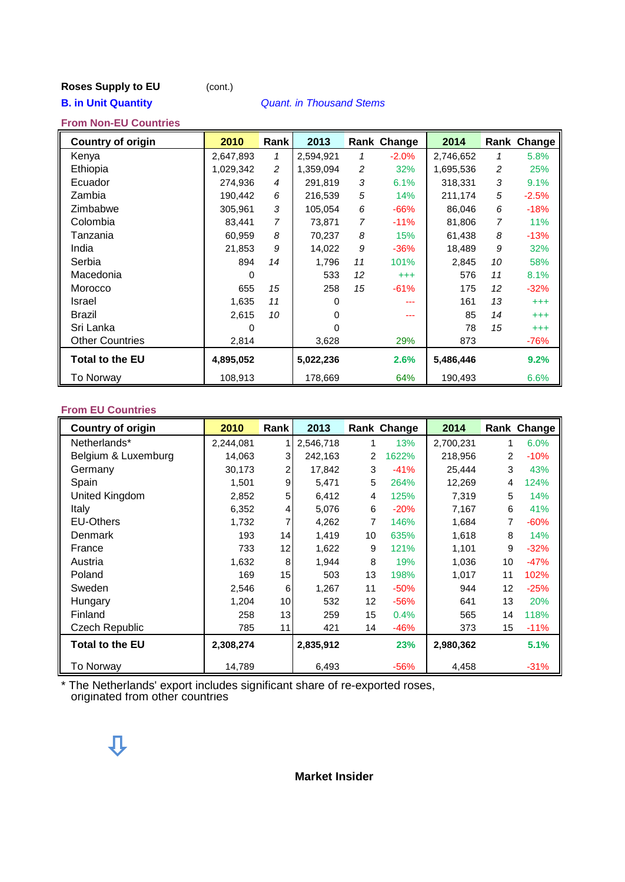# **Roses Supply to EU** (cont.)

### **B. in Unit Quantity** *Quant. in Thousand Stems*

### **From Non-EU Countries**

| <b>Country of origin</b> | 2010      | Rank           | 2013      |                | Rank Change | 2014      |    | Rank Change |
|--------------------------|-----------|----------------|-----------|----------------|-------------|-----------|----|-------------|
| Kenya                    | 2,647,893 | 1              | 2,594,921 | 1              | $-2.0%$     | 2,746,652 | 1  | 5.8%        |
| Ethiopia                 | 1,029,342 | $\overline{c}$ | 1,359,094 | 2              | 32%         | 1,695,536 | 2  | 25%         |
| Ecuador                  | 274,936   | $\overline{4}$ | 291,819   | 3              | 6.1%        | 318,331   | 3  | 9.1%        |
| Zambia                   | 190,442   | 6              | 216,539   | 5              | 14%         | 211,174   | 5  | $-2.5%$     |
| Zimbabwe                 | 305,961   | 3              | 105,054   | 6              | $-66%$      | 86,046    | 6  | $-18%$      |
| Colombia                 | 83,441    | 7              | 73,871    | $\overline{7}$ | $-11%$      | 81,806    | 7  | 11%         |
| Tanzania                 | 60,959    | 8              | 70,237    | 8              | 15%         | 61,438    | 8  | $-13%$      |
| India                    | 21,853    | 9              | 14,022    | 9              | $-36%$      | 18,489    | 9  | 32%         |
| Serbia                   | 894       | 14             | 1,796     | 11             | 101%        | 2,845     | 10 | 58%         |
| Macedonia                | 0         |                | 533       | 12             | $^{+++}$    | 576       | 11 | 8.1%        |
| Morocco                  | 655       | 15             | 258       | 15             | $-61%$      | 175       | 12 | $-32%$      |
| Israel                   | 1,635     | 11             | 0         |                |             | 161       | 13 | $^{+++}$    |
| Brazil                   | 2,615     | 10             | 0         |                |             | 85        | 14 | $^{+++}$    |
| Sri Lanka                | 0         |                | 0         |                |             | 78        | 15 | $^{+++}$    |
| <b>Other Countries</b>   | 2,814     |                | 3,628     |                | 29%         | 873       |    | $-76%$      |
| <b>Total to the EU</b>   | 4,895,052 |                | 5,022,236 |                | 2.6%        | 5,486,446 |    | 9.2%        |
| To Norway                | 108,913   |                | 178,669   |                | 64%         | 190,493   |    | 6.6%        |

#### **From EU Countries**

| <b>Country of origin</b> | 2010      | Rank             | 2013      |                   | Rank Change | 2014      |    | Rank Change |
|--------------------------|-----------|------------------|-----------|-------------------|-------------|-----------|----|-------------|
| Netherlands*             | 2,244,081 |                  | 2,546,718 | 1                 | 13%         | 2,700,231 | 1  | 6.0%        |
| Belgium & Luxemburg      | 14,063    | 3                | 242,163   | $\overline{2}$    | 1622%       | 218.956   | 2  | $-10%$      |
| Germany                  | 30,173    | $\mathbf{2}$     | 17,842    | 3                 | $-41%$      | 25,444    | 3  | 43%         |
| Spain                    | 1,501     | 9                | 5,471     | 5                 | 264%        | 12,269    | 4  | 124%        |
| United Kingdom           | 2,852     | 5 <sup>1</sup>   | 6,412     | 4                 | 125%        | 7,319     | 5  | 14%         |
| Italy                    | 6,352     | $\left 4\right $ | 5,076     | 6                 | $-20%$      | 7,167     | 6  | 41%         |
| <b>EU-Others</b>         | 1,732     | 7                | 4,262     | 7                 | 146%        | 1,684     | 7  | $-60%$      |
| Denmark                  | 193       | 14               | 1,419     | 10                | 635%        | 1,618     | 8  | 14%         |
| France                   | 733       | 12               | 1,622     | 9                 | 121%        | 1,101     | 9  | $-32%$      |
| Austria                  | 1,632     | 8 <sup>1</sup>   | 1,944     | 8                 | 19%         | 1,036     | 10 | $-47%$      |
| Poland                   | 169       | 15               | 503       | 13                | 198%        | 1,017     | 11 | 102%        |
| Sweden                   | 2,546     | 6                | 1,267     | 11                | $-50%$      | 944       | 12 | $-25%$      |
| Hungary                  | 1,204     | 10 <sub>l</sub>  | 532       | $12 \overline{ }$ | $-56%$      | 641       | 13 | 20%         |
| Finland                  | 258       | 13               | 259       | 15                | 0.4%        | 565       | 14 | 118%        |
| Czech Republic           | 785       | 11               | 421       | 14                | $-46%$      | 373       | 15 | $-11%$      |
| <b>Total to the EU</b>   | 2,308,274 |                  | 2,835,912 |                   | 23%         | 2,980,362 |    | 5.1%        |
| To Norway                | 14,789    |                  | 6,493     |                   | $-56%$      | 4,458     |    | $-31%$      |

\* The Netherlands' export includes significant share of re-exported roses, originated from other countries

### **Market Insider**